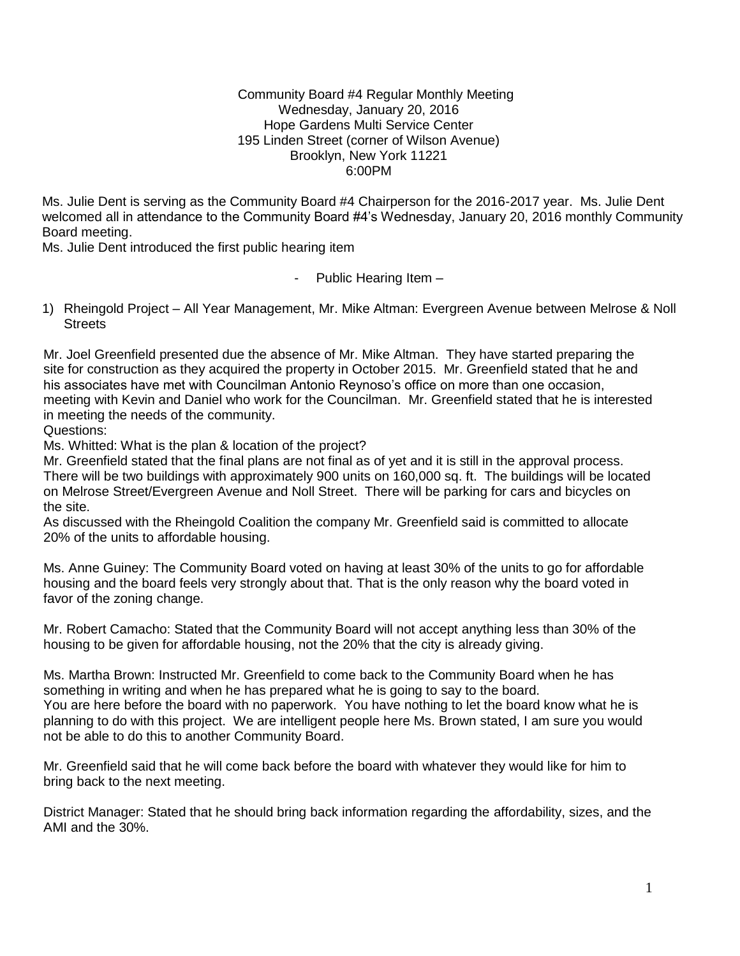#### Community Board #4 Regular Monthly Meeting Wednesday, January 20, 2016 Hope Gardens Multi Service Center 195 Linden Street (corner of Wilson Avenue) Brooklyn, New York 11221 6:00PM

Ms. Julie Dent is serving as the Community Board #4 Chairperson for the 2016-2017 year. Ms. Julie Dent welcomed all in attendance to the Community Board #4's Wednesday, January 20, 2016 monthly Community Board meeting.

Ms. Julie Dent introduced the first public hearing item

Public Hearing Item -

1) Rheingold Project – All Year Management, Mr. Mike Altman: Evergreen Avenue between Melrose & Noll **Streets** 

Mr. Joel Greenfield presented due the absence of Mr. Mike Altman. They have started preparing the site for construction as they acquired the property in October 2015. Mr. Greenfield stated that he and his associates have met with Councilman Antonio Reynoso's office on more than one occasion, meeting with Kevin and Daniel who work for the Councilman. Mr. Greenfield stated that he is interested in meeting the needs of the community.

Questions:

Ms. Whitted: What is the plan & location of the project?

Mr. Greenfield stated that the final plans are not final as of yet and it is still in the approval process. There will be two buildings with approximately 900 units on 160,000 sq. ft. The buildings will be located on Melrose Street/Evergreen Avenue and Noll Street. There will be parking for cars and bicycles on the site.

As discussed with the Rheingold Coalition the company Mr. Greenfield said is committed to allocate 20% of the units to affordable housing.

Ms. Anne Guiney: The Community Board voted on having at least 30% of the units to go for affordable housing and the board feels very strongly about that. That is the only reason why the board voted in favor of the zoning change.

Mr. Robert Camacho: Stated that the Community Board will not accept anything less than 30% of the housing to be given for affordable housing, not the 20% that the city is already giving.

Ms. Martha Brown: Instructed Mr. Greenfield to come back to the Community Board when he has something in writing and when he has prepared what he is going to say to the board. You are here before the board with no paperwork. You have nothing to let the board know what he is planning to do with this project. We are intelligent people here Ms. Brown stated, I am sure you would not be able to do this to another Community Board.

Mr. Greenfield said that he will come back before the board with whatever they would like for him to bring back to the next meeting.

District Manager: Stated that he should bring back information regarding the affordability, sizes, and the AMI and the 30%.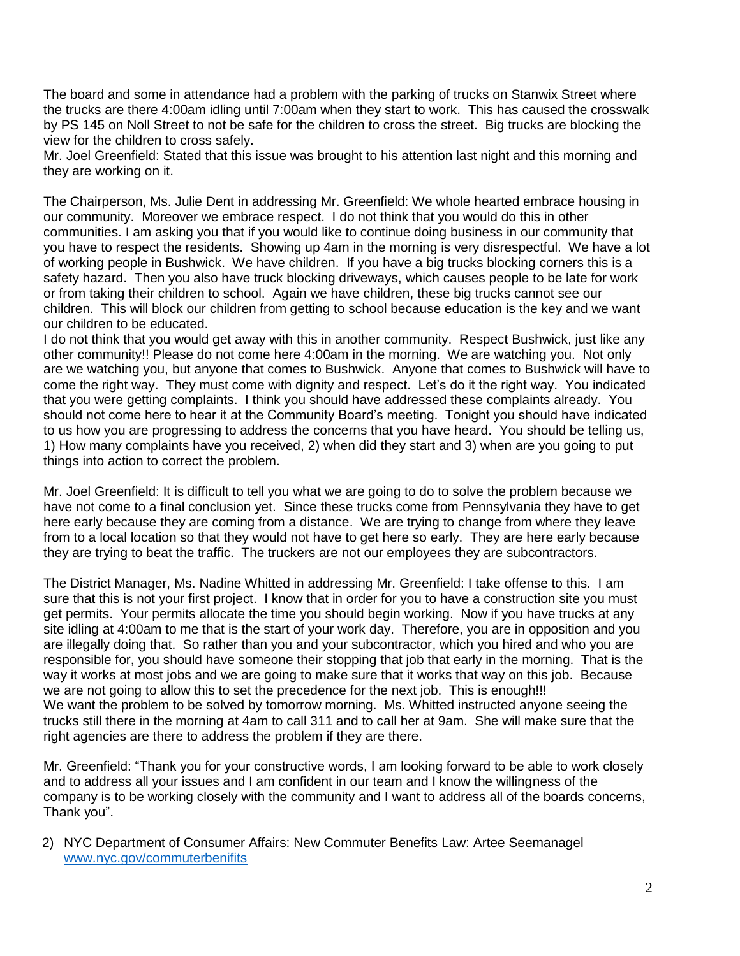The board and some in attendance had a problem with the parking of trucks on Stanwix Street where the trucks are there 4:00am idling until 7:00am when they start to work. This has caused the crosswalk by PS 145 on Noll Street to not be safe for the children to cross the street. Big trucks are blocking the view for the children to cross safely.

Mr. Joel Greenfield: Stated that this issue was brought to his attention last night and this morning and they are working on it.

The Chairperson, Ms. Julie Dent in addressing Mr. Greenfield: We whole hearted embrace housing in our community. Moreover we embrace respect. I do not think that you would do this in other communities. I am asking you that if you would like to continue doing business in our community that you have to respect the residents. Showing up 4am in the morning is very disrespectful. We have a lot of working people in Bushwick. We have children. If you have a big trucks blocking corners this is a safety hazard. Then you also have truck blocking driveways, which causes people to be late for work or from taking their children to school. Again we have children, these big trucks cannot see our children. This will block our children from getting to school because education is the key and we want our children to be educated.

I do not think that you would get away with this in another community. Respect Bushwick, just like any other community!! Please do not come here 4:00am in the morning. We are watching you. Not only are we watching you, but anyone that comes to Bushwick. Anyone that comes to Bushwick will have to come the right way. They must come with dignity and respect. Let's do it the right way. You indicated that you were getting complaints. I think you should have addressed these complaints already. You should not come here to hear it at the Community Board's meeting. Tonight you should have indicated to us how you are progressing to address the concerns that you have heard. You should be telling us, 1) How many complaints have you received, 2) when did they start and 3) when are you going to put things into action to correct the problem.

Mr. Joel Greenfield: It is difficult to tell you what we are going to do to solve the problem because we have not come to a final conclusion yet. Since these trucks come from Pennsylvania they have to get here early because they are coming from a distance. We are trying to change from where they leave from to a local location so that they would not have to get here so early. They are here early because they are trying to beat the traffic. The truckers are not our employees they are subcontractors.

The District Manager, Ms. Nadine Whitted in addressing Mr. Greenfield: I take offense to this. I am sure that this is not your first project. I know that in order for you to have a construction site you must get permits. Your permits allocate the time you should begin working. Now if you have trucks at any site idling at 4:00am to me that is the start of your work day. Therefore, you are in opposition and you are illegally doing that. So rather than you and your subcontractor, which you hired and who you are responsible for, you should have someone their stopping that job that early in the morning. That is the way it works at most jobs and we are going to make sure that it works that way on this job. Because we are not going to allow this to set the precedence for the next job. This is enough!!! We want the problem to be solved by tomorrow morning. Ms. Whitted instructed anyone seeing the trucks still there in the morning at 4am to call 311 and to call her at 9am. She will make sure that the right agencies are there to address the problem if they are there.

Mr. Greenfield: "Thank you for your constructive words, I am looking forward to be able to work closely and to address all your issues and I am confident in our team and I know the willingness of the company is to be working closely with the community and I want to address all of the boards concerns, Thank you".

2) NYC Department of Consumer Affairs: New Commuter Benefits Law: Artee Seemanagel [www.nyc.gov/commuterbenifits](http://www.nyc.gov/commuterbenifits)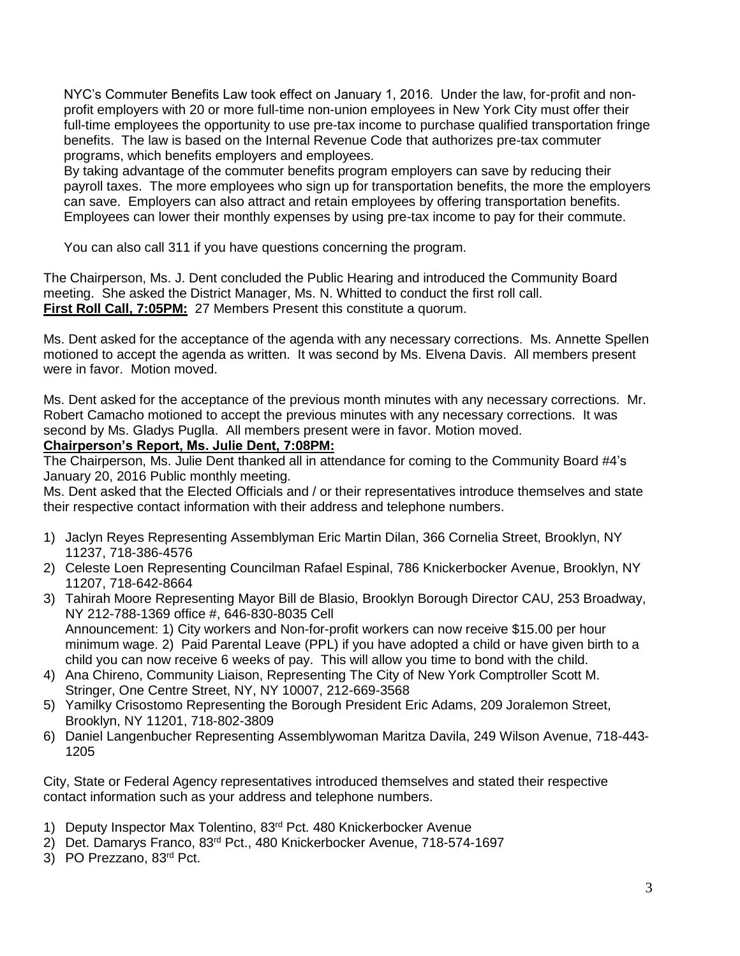NYC's Commuter Benefits Law took effect on January 1, 2016. Under the law, for-profit and nonprofit employers with 20 or more full-time non-union employees in New York City must offer their full-time employees the opportunity to use pre-tax income to purchase qualified transportation fringe benefits. The law is based on the Internal Revenue Code that authorizes pre-tax commuter programs, which benefits employers and employees.

By taking advantage of the commuter benefits program employers can save by reducing their payroll taxes. The more employees who sign up for transportation benefits, the more the employers can save. Employers can also attract and retain employees by offering transportation benefits. Employees can lower their monthly expenses by using pre-tax income to pay for their commute.

You can also call 311 if you have questions concerning the program.

The Chairperson, Ms. J. Dent concluded the Public Hearing and introduced the Community Board meeting. She asked the District Manager, Ms. N. Whitted to conduct the first roll call. **First Roll Call, 7:05PM:** 27 Members Present this constitute a quorum.

Ms. Dent asked for the acceptance of the agenda with any necessary corrections. Ms. Annette Spellen motioned to accept the agenda as written. It was second by Ms. Elvena Davis. All members present were in favor. Motion moved.

Ms. Dent asked for the acceptance of the previous month minutes with any necessary corrections. Mr. Robert Camacho motioned to accept the previous minutes with any necessary corrections. It was second by Ms. Gladys Puglla. All members present were in favor. Motion moved.

# **Chairperson's Report, Ms. Julie Dent, 7:08PM:**

The Chairperson, Ms. Julie Dent thanked all in attendance for coming to the Community Board #4's January 20, 2016 Public monthly meeting.

Ms. Dent asked that the Elected Officials and / or their representatives introduce themselves and state their respective contact information with their address and telephone numbers.

- 1) Jaclyn Reyes Representing Assemblyman Eric Martin Dilan, 366 Cornelia Street, Brooklyn, NY 11237, 718-386-4576
- 2) Celeste Loen Representing Councilman Rafael Espinal, 786 Knickerbocker Avenue, Brooklyn, NY 11207, 718-642-8664
- 3) Tahirah Moore Representing Mayor Bill de Blasio, Brooklyn Borough Director CAU, 253 Broadway, NY 212-788-1369 office #, 646-830-8035 Cell Announcement: 1) City workers and Non-for-profit workers can now receive \$15.00 per hour minimum wage. 2) Paid Parental Leave (PPL) if you have adopted a child or have given birth to a child you can now receive 6 weeks of pay. This will allow you time to bond with the child.
- 4) Ana Chireno, Community Liaison, Representing The City of New York Comptroller Scott M. Stringer, One Centre Street, NY, NY 10007, 212-669-3568
- 5) Yamilky Crisostomo Representing the Borough President Eric Adams, 209 Joralemon Street, Brooklyn, NY 11201, 718-802-3809
- 6) Daniel Langenbucher Representing Assemblywoman Maritza Davila, 249 Wilson Avenue, 718-443- 1205

City, State or Federal Agency representatives introduced themselves and stated their respective contact information such as your address and telephone numbers.

- 1) Deputy Inspector Max Tolentino, 83<sup>rd</sup> Pct. 480 Knickerbocker Avenue
- 2) Det. Damarys Franco, 83rd Pct., 480 Knickerbocker Avenue, 718-574-1697
- 3) PO Prezzano, 83<sup>rd</sup> Pct.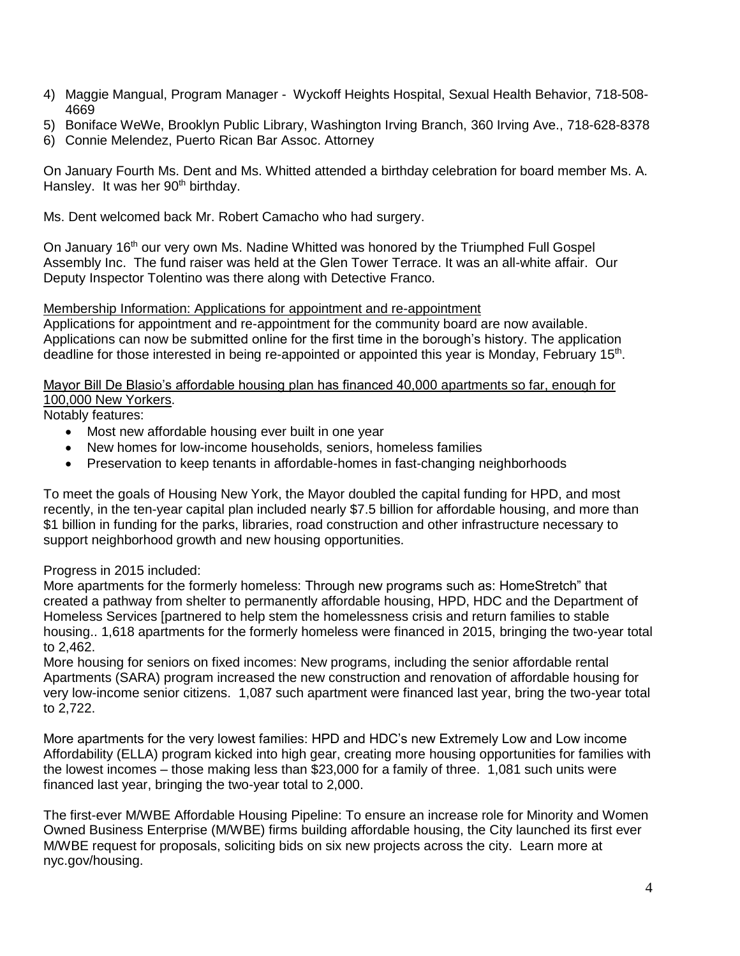- 4) Maggie Mangual, Program Manager Wyckoff Heights Hospital, Sexual Health Behavior, 718-508- 4669
- 5) Boniface WeWe, Brooklyn Public Library, Washington Irving Branch, 360 Irving Ave., 718-628-8378
- 6) Connie Melendez, Puerto Rican Bar Assoc. Attorney

On January Fourth Ms. Dent and Ms. Whitted attended a birthday celebration for board member Ms. A. Hansley. It was her 90<sup>th</sup> birthday.

Ms. Dent welcomed back Mr. Robert Camacho who had surgery.

On January 16<sup>th</sup> our very own Ms. Nadine Whitted was honored by the Triumphed Full Gospel Assembly Inc. The fund raiser was held at the Glen Tower Terrace. It was an all-white affair. Our Deputy Inspector Tolentino was there along with Detective Franco.

#### Membership Information: Applications for appointment and re-appointment

Applications for appointment and re-appointment for the community board are now available. Applications can now be submitted online for the first time in the borough's history. The application deadline for those interested in being re-appointed or appointed this year is Monday, February 15<sup>th</sup>.

## Mayor Bill De Blasio's affordable housing plan has financed 40,000 apartments so far, enough for 100,000 New Yorkers.

Notably features:

- Most new affordable housing ever built in one year
- New homes for low-income households, seniors, homeless families
- Preservation to keep tenants in affordable-homes in fast-changing neighborhoods

To meet the goals of Housing New York, the Mayor doubled the capital funding for HPD, and most recently, in the ten-year capital plan included nearly \$7.5 billion for affordable housing, and more than \$1 billion in funding for the parks, libraries, road construction and other infrastructure necessary to support neighborhood growth and new housing opportunities.

## Progress in 2015 included:

More apartments for the formerly homeless: Through new programs such as: HomeStretch" that created a pathway from shelter to permanently affordable housing, HPD, HDC and the Department of Homeless Services [partnered to help stem the homelessness crisis and return families to stable housing.. 1,618 apartments for the formerly homeless were financed in 2015, bringing the two-year total to 2,462.

More housing for seniors on fixed incomes: New programs, including the senior affordable rental Apartments (SARA) program increased the new construction and renovation of affordable housing for very low-income senior citizens. 1,087 such apartment were financed last year, bring the two-year total to 2,722.

More apartments for the very lowest families: HPD and HDC's new Extremely Low and Low income Affordability (ELLA) program kicked into high gear, creating more housing opportunities for families with the lowest incomes – those making less than \$23,000 for a family of three. 1,081 such units were financed last year, bringing the two-year total to 2,000.

The first-ever M/WBE Affordable Housing Pipeline: To ensure an increase role for Minority and Women Owned Business Enterprise (M/WBE) firms building affordable housing, the City launched its first ever M/WBE request for proposals, soliciting bids on six new projects across the city. Learn more at nyc.gov/housing.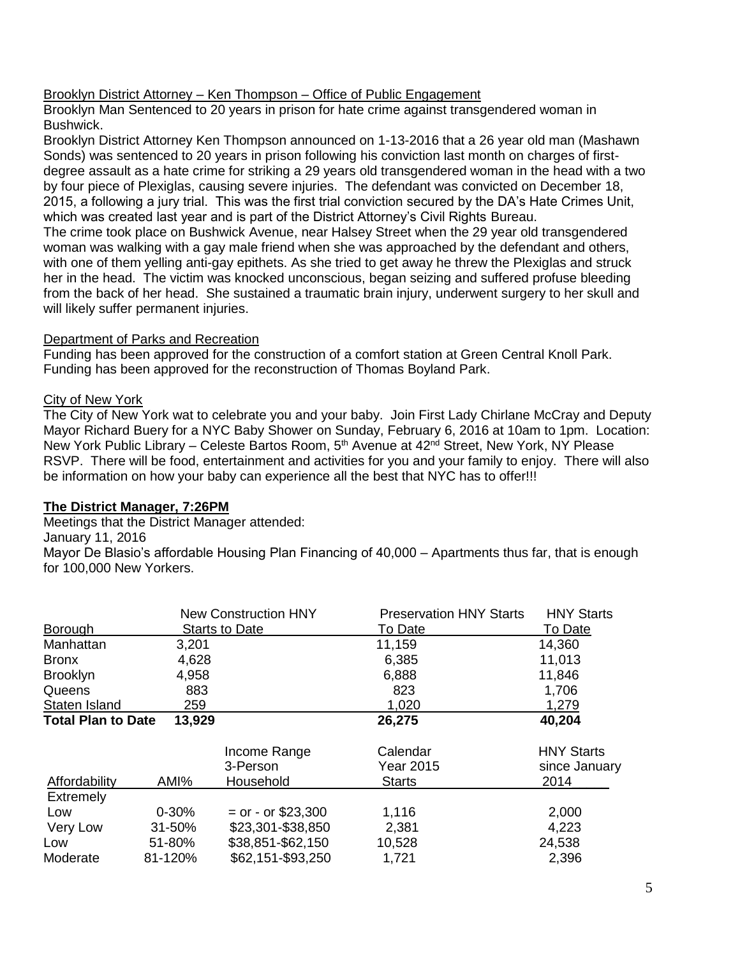## Brooklyn District Attorney – Ken Thompson – Office of Public Engagement

Brooklyn Man Sentenced to 20 years in prison for hate crime against transgendered woman in Bushwick.

Brooklyn District Attorney Ken Thompson announced on 1-13-2016 that a 26 year old man (Mashawn Sonds) was sentenced to 20 years in prison following his conviction last month on charges of firstdegree assault as a hate crime for striking a 29 years old transgendered woman in the head with a two by four piece of Plexiglas, causing severe injuries. The defendant was convicted on December 18, 2015, a following a jury trial. This was the first trial conviction secured by the DA's Hate Crimes Unit, which was created last year and is part of the District Attorney's Civil Rights Bureau. The crime took place on Bushwick Avenue, near Halsey Street when the 29 year old transgendered

woman was walking with a gay male friend when she was approached by the defendant and others, with one of them yelling anti-gay epithets. As she tried to get away he threw the Plexiglas and struck her in the head. The victim was knocked unconscious, began seizing and suffered profuse bleeding from the back of her head. She sustained a traumatic brain injury, underwent surgery to her skull and will likely suffer permanent injuries.

## Department of Parks and Recreation

Funding has been approved for the construction of a comfort station at Green Central Knoll Park. Funding has been approved for the reconstruction of Thomas Boyland Park.

## City of New York

The City of New York wat to celebrate you and your baby. Join First Lady Chirlane McCray and Deputy Mayor Richard Buery for a NYC Baby Shower on Sunday, February 6, 2016 at 10am to 1pm. Location: New York Public Library – Celeste Bartos Room, 5<sup>th</sup> Avenue at 42<sup>nd</sup> Street, New York, NY Please RSVP. There will be food, entertainment and activities for you and your family to enjoy. There will also be information on how your baby can experience all the best that NYC has to offer!!!

## **The District Manager, 7:26PM**

Meetings that the District Manager attended:

January 11, 2016

Mayor De Blasio's affordable Housing Plan Financing of 40,000 – Apartments thus far, that is enough for 100,000 New Yorkers.

|                                     | <b>New Construction HNY</b> |                      | <b>Preservation HNY Starts</b> | <b>HNY Starts</b> |
|-------------------------------------|-----------------------------|----------------------|--------------------------------|-------------------|
| <b>Borough</b>                      |                             | Starts to Date       | To Date                        | To Date           |
| Manhattan                           | 3,201                       |                      | 11,159                         | 14,360            |
| <b>Bronx</b>                        | 4,628                       |                      | 6,385                          | 11,013            |
| <b>Brooklyn</b>                     | 4,958                       |                      | 6,888                          | 11,846            |
| Queens                              | 883                         |                      | 823                            | 1,706             |
| Staten Island                       | 259                         |                      | 1,020                          | 1,279             |
| <b>Total Plan to Date</b><br>13,929 |                             |                      | 26,275                         | 40,204            |
|                                     |                             | Income Range         | Calendar                       | <b>HNY Starts</b> |
|                                     |                             | 3-Person             | Year 2015                      | since January     |
| Affordability                       | AMI%                        | Household            | <b>Starts</b>                  | 2014              |
| <b>Extremely</b>                    |                             |                      |                                |                   |
| Low                                 | $0 - 30%$                   | $=$ or - or \$23,300 | 1,116                          | 2,000             |
| Very Low                            | 31-50%                      | \$23,301-\$38,850    | 2,381                          | 4,223             |
| Low                                 | 51-80%                      | \$38,851-\$62,150    | 10,528                         | 24,538            |
| Moderate                            | 81-120%                     | \$62,151-\$93,250    | 1,721                          | 2,396             |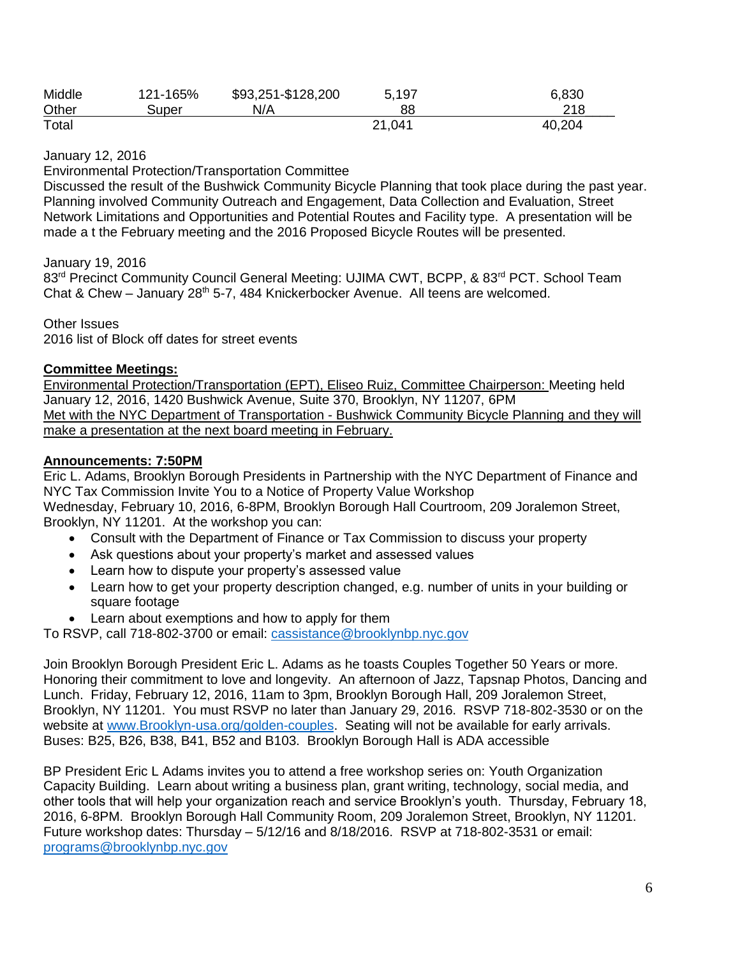| Middle | 121-165% | \$93,251-\$128,200 | 5,197  | 6,830  |
|--------|----------|--------------------|--------|--------|
| Other  | Super    | N/A                | 88     | 218    |
| Total  |          |                    | 21,041 | 40,204 |

January 12, 2016

Environmental Protection/Transportation Committee

Discussed the result of the Bushwick Community Bicycle Planning that took place during the past year. Planning involved Community Outreach and Engagement, Data Collection and Evaluation, Street Network Limitations and Opportunities and Potential Routes and Facility type. A presentation will be made a t the February meeting and the 2016 Proposed Bicycle Routes will be presented.

January 19, 2016

83<sup>rd</sup> Precinct Community Council General Meeting: UJIMA CWT, BCPP, & 83<sup>rd</sup> PCT. School Team Chat & Chew – January 28<sup>th</sup> 5-7, 484 Knickerbocker Avenue. All teens are welcomed.

Other Issues 2016 list of Block off dates for street events

#### **Committee Meetings:**

Environmental Protection/Transportation (EPT), Eliseo Ruiz, Committee Chairperson: Meeting held January 12, 2016, 1420 Bushwick Avenue, Suite 370, Brooklyn, NY 11207, 6PM Met with the NYC Department of Transportation - Bushwick Community Bicycle Planning and they will make a presentation at the next board meeting in February.

## **Announcements: 7:50PM**

Eric L. Adams, Brooklyn Borough Presidents in Partnership with the NYC Department of Finance and NYC Tax Commission Invite You to a Notice of Property Value Workshop Wednesday, February 10, 2016, 6-8PM, Brooklyn Borough Hall Courtroom, 209 Joralemon Street, Brooklyn, NY 11201. At the workshop you can:

- Consult with the Department of Finance or Tax Commission to discuss your property
- Ask questions about your property's market and assessed values
- Learn how to dispute your property's assessed value
- Learn how to get your property description changed, e.g. number of units in your building or square footage
- Learn about exemptions and how to apply for them

To RSVP, call 718-802-3700 or email: [cassistance@brooklynbp.nyc.gov](mailto:cassistance@brooklynbp.nyc.gov)

Join Brooklyn Borough President Eric L. Adams as he toasts Couples Together 50 Years or more. Honoring their commitment to love and longevity. An afternoon of Jazz, Tapsnap Photos, Dancing and Lunch. Friday, February 12, 2016, 11am to 3pm, Brooklyn Borough Hall, 209 Joralemon Street, Brooklyn, NY 11201. You must RSVP no later than January 29, 2016. RSVP 718-802-3530 or on the website at [www.Brooklyn-usa.org/golden-couples.](http://www.brooklyn-usa.org/golden-couples) Seating will not be available for early arrivals. Buses: B25, B26, B38, B41, B52 and B103. Brooklyn Borough Hall is ADA accessible

BP President Eric L Adams invites you to attend a free workshop series on: Youth Organization Capacity Building. Learn about writing a business plan, grant writing, technology, social media, and other tools that will help your organization reach and service Brooklyn's youth. Thursday, February 18, 2016, 6-8PM. Brooklyn Borough Hall Community Room, 209 Joralemon Street, Brooklyn, NY 11201. Future workshop dates: Thursday – 5/12/16 and 8/18/2016. RSVP at 718-802-3531 or email: [programs@brooklynbp.nyc.gov](mailto:programs@brooklynbp.nyc.gov)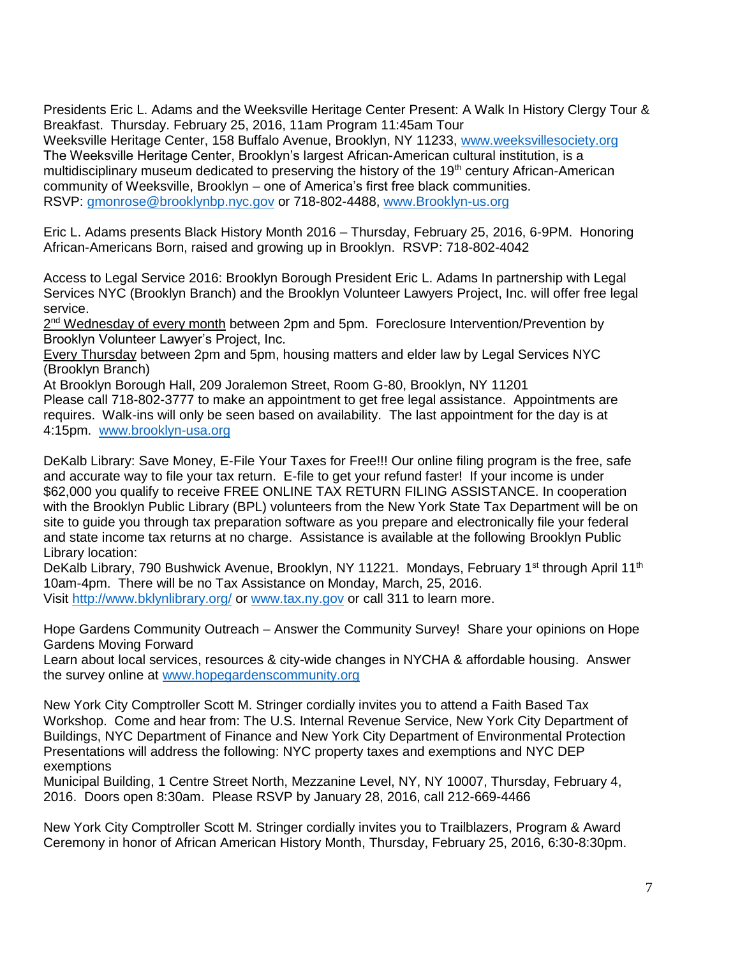Presidents Eric L. Adams and the Weeksville Heritage Center Present: A Walk In History Clergy Tour & Breakfast. Thursday. February 25, 2016, 11am Program 11:45am Tour

Weeksville Heritage Center, 158 Buffalo Avenue, Brooklyn, NY 11233, [www.weeksvillesociety.org](http://www.weeksvillesociety.org/) The Weeksville Heritage Center, Brooklyn's largest African-American cultural institution, is a multidisciplinary museum dedicated to preserving the history of the  $19<sup>th</sup>$  century African-American community of Weeksville, Brooklyn – one of America's first free black communities. RSVP: [gmonrose@brooklynbp.nyc.gov](mailto:gmonrose@brooklynbp.nyc.gov) or 718-802-4488, [www.Brooklyn-us.org](http://www.brooklyn-us.org/) 

Eric L. Adams presents Black History Month 2016 – Thursday, February 25, 2016, 6-9PM. Honoring African-Americans Born, raised and growing up in Brooklyn. RSVP: 718-802-4042

Access to Legal Service 2016: Brooklyn Borough President Eric L. Adams In partnership with Legal Services NYC (Brooklyn Branch) and the Brooklyn Volunteer Lawyers Project, Inc. will offer free legal service.

2<sup>nd</sup> Wednesday of every month between 2pm and 5pm. Foreclosure Intervention/Prevention by Brooklyn Volunteer Lawyer's Project, Inc.

Every Thursday between 2pm and 5pm, housing matters and elder law by Legal Services NYC (Brooklyn Branch)

At Brooklyn Borough Hall, 209 Joralemon Street, Room G-80, Brooklyn, NY 11201

Please call 718-802-3777 to make an appointment to get free legal assistance. Appointments are requires. Walk-ins will only be seen based on availability. The last appointment for the day is at 4:15pm. [www.brooklyn-usa.org](http://www.brooklyn-usa.org/)

DeKalb Library: Save Money, E-File Your Taxes for Free!!! Our online filing program is the free, safe and accurate way to file your tax return. E-file to get your refund faster! If your income is under \$62,000 you qualify to receive FREE ONLINE TAX RETURN FILING ASSISTANCE. In cooperation with the Brooklyn Public Library (BPL) volunteers from the New York State Tax Department will be on site to guide you through tax preparation software as you prepare and electronically file your federal and state income tax returns at no charge. Assistance is available at the following Brooklyn Public Library location:

DeKalb Library, 790 Bushwick Avenue, Brooklyn, NY 11221. Mondays, February 1<sup>st</sup> through April 11<sup>th</sup> 10am-4pm. There will be no Tax Assistance on Monday, March, 25, 2016. Visit<http://www.bklynlibrary.org/> or [www.tax.ny.gov](http://www.tax.ny.gov/) or call 311 to learn more.

Hope Gardens Community Outreach – Answer the Community Survey! Share your opinions on Hope Gardens Moving Forward

Learn about local services, resources & city-wide changes in NYCHA & affordable housing. Answer the survey online at [www.hopegardenscommunity.org](http://www.hopegardenscommunity.org/)

New York City Comptroller Scott M. Stringer cordially invites you to attend a Faith Based Tax Workshop. Come and hear from: The U.S. Internal Revenue Service, New York City Department of Buildings, NYC Department of Finance and New York City Department of Environmental Protection Presentations will address the following: NYC property taxes and exemptions and NYC DEP exemptions

Municipal Building, 1 Centre Street North, Mezzanine Level, NY, NY 10007, Thursday, February 4, 2016. Doors open 8:30am. Please RSVP by January 28, 2016, call 212-669-4466

New York City Comptroller Scott M. Stringer cordially invites you to Trailblazers, Program & Award Ceremony in honor of African American History Month, Thursday, February 25, 2016, 6:30-8:30pm.